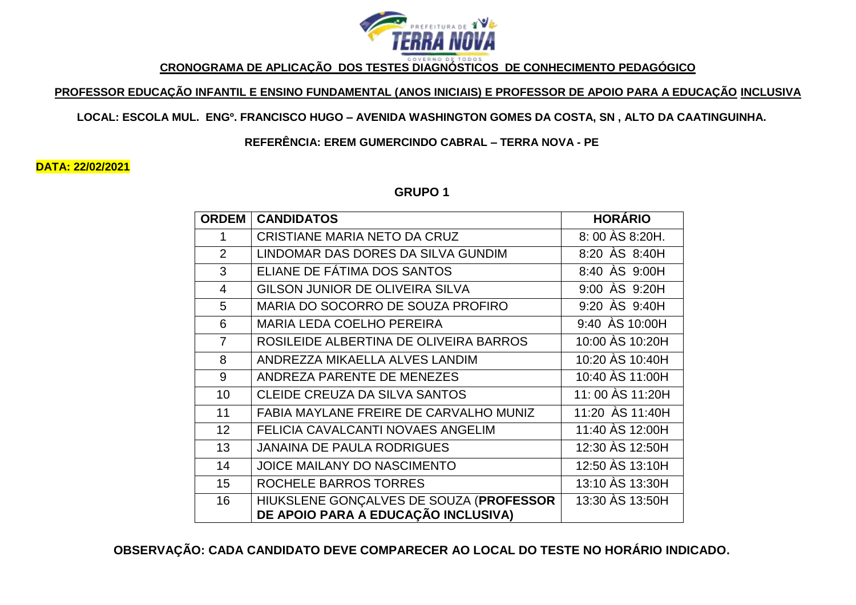

**CRONOGRAMA DE APLICAÇÃO DOS TESTES DIAGNÓSTICOS DE CONHECIMENTO PEDAGÓGICO**

## **PROFESSOR EDUCAÇÃO INFANTIL E ENSINO FUNDAMENTAL (ANOS INICIAIS) E PROFESSOR DE APOIO PARA A EDUCAÇÃO INCLUSIVA**

#### **LOCAL: ESCOLA MUL. ENGº. FRANCISCO HUGO – AVENIDA WASHINGTON GOMES DA COSTA, SN , ALTO DA CAATINGUINHA.**

**REFERÊNCIA: EREM GUMERCINDO CABRAL – TERRA NOVA - PE**

**DATA: 22/02/2021**

**GRUPO 1**

| <b>ORDEM</b>   | <b>CANDIDATOS</b>                                                              | <b>HORÁRIO</b>   |
|----------------|--------------------------------------------------------------------------------|------------------|
| 1              | CRISTIANE MARIA NETO DA CRUZ                                                   | 8:00 AS 8:20H.   |
| 2              | LINDOMAR DAS DORES DA SILVA GUNDIM                                             | 8:20 AS 8:40H    |
| 3              | ELIANE DE FÁTIMA DOS SANTOS                                                    | 8:40 AS 9:00H    |
| 4              | <b>GILSON JUNIOR DE OLIVEIRA SILVA</b>                                         | 9:00 AS 9:20H    |
| 5              | MARIA DO SOCORRO DE SOUZA PROFIRO                                              | 9:20 AS 9:40H    |
| 6              | <b>MARIA LEDA COELHO PEREIRA</b>                                               | 9:40 AS 10:00H   |
| $\overline{7}$ | ROSILEIDE ALBERTINA DE OLIVEIRA BARROS                                         | 10:00 AS 10:20H  |
| 8              | ANDREZZA MIKAELLA ALVES LANDIM                                                 | 10:20 AS 10:40H  |
| 9              | ANDREZA PARENTE DE MENEZES                                                     | 10:40 AS 11:00H  |
| 10             | <b>CLEIDE CREUZA DA SILVA SANTOS</b>                                           | 11: 00 AS 11:20H |
| 11             | FABIA MAYLANE FREIRE DE CARVALHO MUNIZ                                         | 11:20 AS 11:40H  |
| 12             | FELICIA CAVALCANTI NOVAES ANGELIM                                              | 11:40 AS 12:00H  |
| 13             | <b>JANAINA DE PAULA RODRIGUES</b>                                              | 12:30 AS 12:50H  |
| 14             | JOICE MAILANY DO NASCIMENTO                                                    | 12:50 AS 13:10H  |
| 15             | ROCHELE BARROS TORRES                                                          | 13:10 AS 13:30H  |
| 16             | HIUKSLENE GONÇALVES DE SOUZA (PROFESSOR<br>DE APOIO PARA A EDUCAÇÃO INCLUSIVA) | 13:30 AS 13:50H  |

**OBSERVAÇÃO: CADA CANDIDATO DEVE COMPARECER AO LOCAL DO TESTE NO HORÁRIO INDICADO.**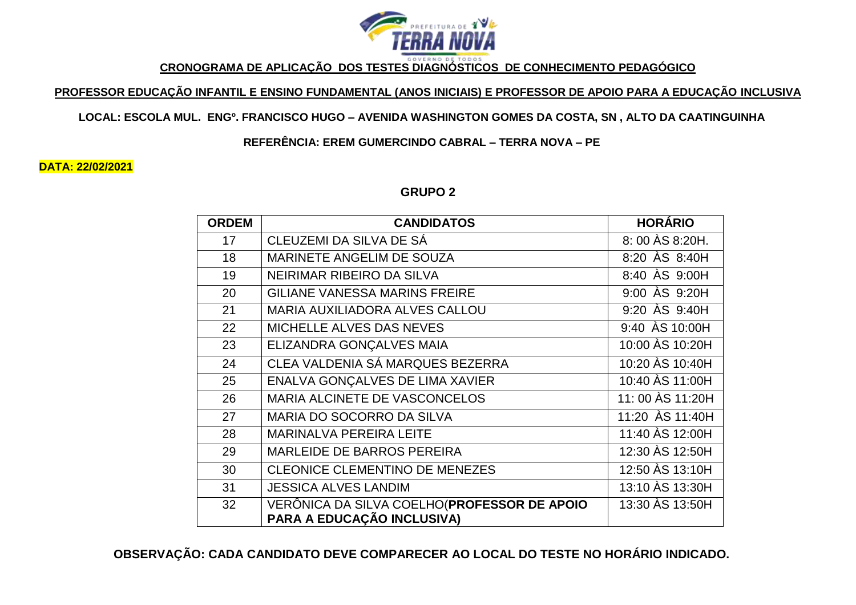

**CRONOGRAMA DE APLICAÇÃO DOS TESTES DIAGNÓSTICOS DE CONHECIMENTO PEDAGÓGICO**

## **PROFESSOR EDUCAÇÃO INFANTIL E ENSINO FUNDAMENTAL (ANOS INICIAIS) E PROFESSOR DE APOIO PARA A EDUCAÇÃO INCLUSIVA**

## **LOCAL: ESCOLA MUL. ENGº. FRANCISCO HUGO – AVENIDA WASHINGTON GOMES DA COSTA, SN , ALTO DA CAATINGUINHA**

**REFERÊNCIA: EREM GUMERCINDO CABRAL – TERRA NOVA – PE**

**DATA: 22/02/2021**

## **GRUPO 2**

| <b>ORDEM</b> | <b>CANDIDATOS</b>                                                          | <b>HORÁRIO</b>   |
|--------------|----------------------------------------------------------------------------|------------------|
| 17           | CLEUZEMI DA SILVA DE SÁ                                                    | 8:00 AS 8:20H.   |
| 18           | <b>MARINETE ANGELIM DE SOUZA</b>                                           | 8:20 AS 8:40H    |
| 19           | NEIRIMAR RIBEIRO DA SILVA                                                  | 8:40 AS 9:00H    |
| 20           | <b>GILIANE VANESSA MARINS FREIRE</b>                                       | 9:00 AS 9:20H    |
| 21           | <b>MARIA AUXILIADORA ALVES CALLOU</b>                                      | 9:20 AS 9:40H    |
| 22           | MICHELLE ALVES DAS NEVES                                                   | 9:40 AS 10:00H   |
| 23           | ELIZANDRA GONÇALVES MAIA                                                   | 10:00 AS 10:20H  |
| 24           | CLEA VALDENIA SÁ MARQUES BEZERRA                                           | 10:20 AS 10:40H  |
| 25           | ENALVA GONÇALVES DE LIMA XAVIER                                            | 10:40 AS 11:00H  |
| 26           | MARIA ALCINETE DE VASCONCELOS                                              | 11: 00 AS 11:20H |
| 27           | MARIA DO SOCORRO DA SILVA                                                  | 11:20 AS 11:40H  |
| 28           | <b>MARINALVA PEREIRA LEITE</b>                                             | 11:40 AS 12:00H  |
| 29           | <b>MARLEIDE DE BARROS PEREIRA</b>                                          | 12:30 AS 12:50H  |
| 30           | <b>CLEONICE CLEMENTINO DE MENEZES</b>                                      | 12:50 AS 13:10H  |
| 31           | <b>JESSICA ALVES LANDIM</b>                                                | 13:10 AS 13:30H  |
| 32           | VERÔNICA DA SILVA COELHO (PROFESSOR DE APOIO<br>PARA A EDUCAÇÃO INCLUSIVA) | 13:30 AS 13:50H  |

**OBSERVAÇÃO: CADA CANDIDATO DEVE COMPARECER AO LOCAL DO TESTE NO HORÁRIO INDICADO.**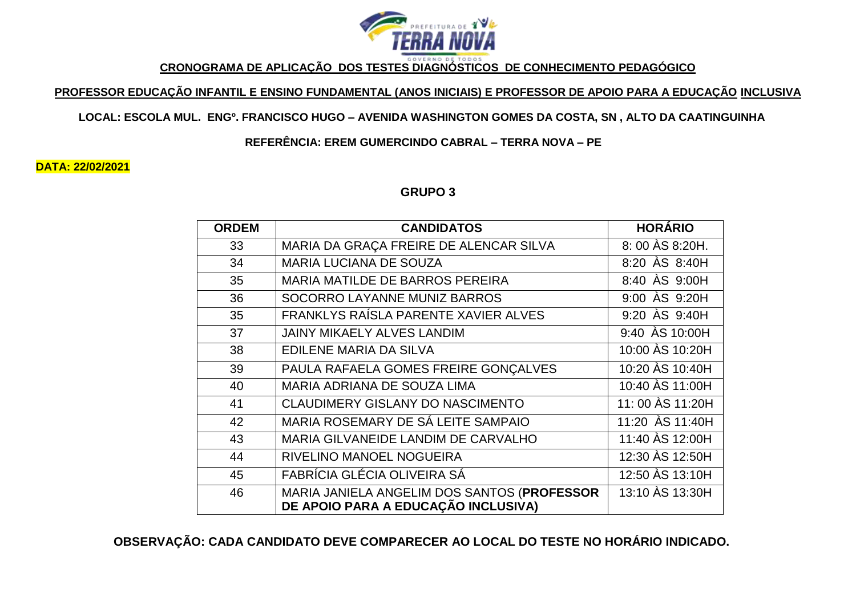

**CRONOGRAMA DE APLICAÇÃO DOS TESTES DIAGNÓSTICOS DE CONHECIMENTO PEDAGÓGICO**

## **PROFESSOR EDUCAÇÃO INFANTIL E ENSINO FUNDAMENTAL (ANOS INICIAIS) E PROFESSOR DE APOIO PARA A EDUCAÇÃO INCLUSIVA**

#### **LOCAL: ESCOLA MUL. ENGº. FRANCISCO HUGO – AVENIDA WASHINGTON GOMES DA COSTA, SN , ALTO DA CAATINGUINHA**

**REFERÊNCIA: EREM GUMERCINDO CABRAL – TERRA NOVA – PE**

**DATA: 22/02/2021**

## **GRUPO 3**

| <b>ORDEM</b> | <b>CANDIDATOS</b>                                                                  | <b>HORÁRIO</b>                 |
|--------------|------------------------------------------------------------------------------------|--------------------------------|
| 33           | MARIA DA GRAÇA FREIRE DE ALENCAR SILVA                                             | 8:00 AS 8:20H.                 |
| 34           | <b>MARIA LUCIANA DE SOUZA</b>                                                      | 8:20 AS 8:40H                  |
| 35           | <b>MARIA MATILDE DE BARROS PEREIRA</b>                                             | 8:40 AS 9:00H                  |
| 36           | SOCORRO LAYANNE MUNIZ BARROS                                                       | $9:00$ $\overline{AS}$ $9:20H$ |
| 35           | FRANKLYS RAÍSLA PARENTE XAVIER ALVES                                               | $9:20$ $\overline{AS}$ $9:40H$ |
| 37           | JAINY MIKAELY ALVES LANDIM                                                         | 9:40 AS 10:00H                 |
| 38           | EDILENE MARIA DA SILVA                                                             | 10:00 AS 10:20H                |
| 39           | PAULA RAFAELA GOMES FREIRE GONÇALVES                                               | 10:20 AS 10:40H                |
| 40           | MARIA ADRIANA DE SOUZA LIMA                                                        | 10:40 AS 11:00H                |
| 41           | <b>CLAUDIMERY GISLANY DO NASCIMENTO</b>                                            | 11: 00 AS 11:20H               |
| 42           | MARIA ROSEMARY DE SÁ LEITE SAMPAIO                                                 | 11:20 AS 11:40H                |
| 43           | MARIA GILVANEIDE LANDIM DE CARVALHO                                                | 11:40 AS 12:00H                |
| 44           | RIVELINO MANOEL NOGUEIRA                                                           | 12:30 AS 12:50H                |
| 45           | FABRÍCIA GLÉCIA OLIVEIRA SÁ                                                        | 12:50 AS 13:10H                |
| 46           | MARIA JANIELA ANGELIM DOS SANTOS (PROFESSOR<br>DE APOIO PARA A EDUCAÇÃO INCLUSIVA) | 13:10 AS 13:30H                |

**OBSERVAÇÃO: CADA CANDIDATO DEVE COMPARECER AO LOCAL DO TESTE NO HORÁRIO INDICADO.**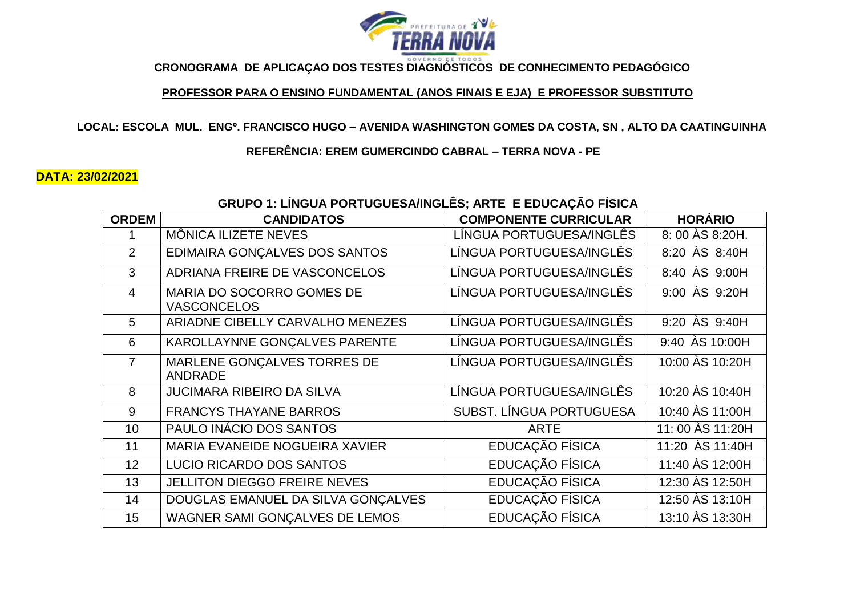

**CRONOGRAMA DE APLICAÇAO DOS TESTES DIAGNÓSTICOS DE CONHECIMENTO PEDAGÓGICO**

#### **PROFESSOR PARA O ENSINO FUNDAMENTAL (ANOS FINAIS E EJA) E PROFESSOR SUBSTITUTO**

**LOCAL: ESCOLA MUL. ENGº. FRANCISCO HUGO – AVENIDA WASHINGTON GOMES DA COSTA, SN , ALTO DA CAATINGUINHA**

**REFERÊNCIA: EREM GUMERCINDO CABRAL – TERRA NOVA - PE**

## **DATA: 23/02/2021**

# **GRUPO 1: LÍNGUA PORTUGUESA/INGLÊS; ARTE E EDUCAÇÃO FÍSICA**

| <b>ORDEM</b>   | <b>CANDIDATOS</b>                               | <b>COMPONENTE CURRICULAR</b> | <b>HORÁRIO</b>                 |
|----------------|-------------------------------------------------|------------------------------|--------------------------------|
|                | MÔNICA ILIZETE NEVES                            | LÍNGUA PORTUGUESA/INGLÊS     | 8: 00 AS 8:20H.                |
| $\overline{2}$ | EDIMAIRA GONÇALVES DOS SANTOS                   | LÍNGUA PORTUGUESA/INGLÊS     | 8:20 AS 8:40H                  |
| 3              | ADRIANA FREIRE DE VASCONCELOS                   | LÍNGUA PORTUGUESA/INGLÊS     | 8:40 AS 9:00H                  |
| $\overline{4}$ | MARIA DO SOCORRO GOMES DE<br><b>VASCONCELOS</b> | LÍNGUA PORTUGUESA/INGLÊS     | 9:00 AS 9:20H                  |
| 5              | ARIADNE CIBELLY CARVALHO MENEZES                | LÍNGUA PORTUGUESA/INGLÊS     | $9:20$ $\overline{AS}$ $9:40H$ |
| 6              | KAROLLAYNNE GONÇALVES PARENTE                   | LÍNGUA PORTUGUESA/INGLÊS     | 9:40 AS 10:00H                 |
| $\overline{7}$ | MARLENE GONÇALVES TORRES DE<br><b>ANDRADE</b>   | LÍNGUA PORTUGUESA/INGLÊS     | 10:00 AS 10:20H                |
| 8              | <b>JUCIMARA RIBEIRO DA SILVA</b>                | LÍNGUA PORTUGUESA/INGLÊS     | 10:20 AS 10:40H                |
| 9              | <b>FRANCYS THAYANE BARROS</b>                   | SUBST. LÍNGUA PORTUGUESA     | 10:40 AS 11:00H                |
| 10             | PAULO INÁCIO DOS SANTOS                         | <b>ARTE</b>                  | 11: 00 AS 11:20H               |
| 11             | MARIA EVANEIDE NOGUEIRA XAVIER                  | EDUCAÇÃO FÍSICA              | 11:20 ÀS 11:40H                |
| 12             | LUCIO RICARDO DOS SANTOS                        | EDUCAÇÃO FÍSICA              | 11:40 AS 12:00H                |
| 13             | <b>JELLITON DIEGGO FREIRE NEVES</b>             | EDUCAÇÃO FÍSICA              | 12:30 AS 12:50H                |
| 14             | DOUGLAS EMANUEL DA SILVA GONÇALVES              | EDUCAÇÃO FÍSICA              | 12:50 AS 13:10H                |
| 15             | WAGNER SAMI GONÇALVES DE LEMOS                  | EDUCAÇÃO FÍSICA              | 13:10 AS 13:30H                |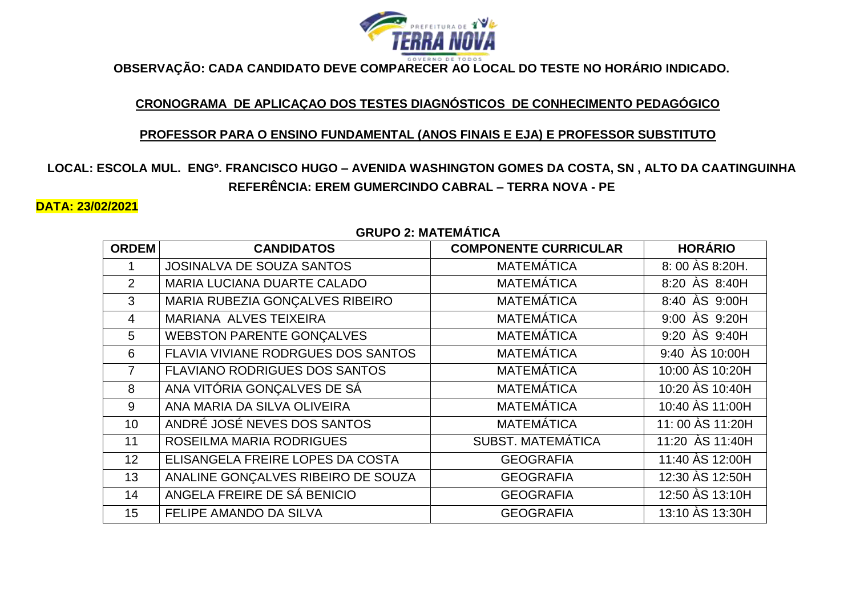

**OBSERVAÇÃO: CADA CANDIDATO DEVE COMPARECER AO LOCAL DO TESTE NO HORÁRIO INDICADO.**

## **CRONOGRAMA DE APLICAÇAO DOS TESTES DIAGNÓSTICOS DE CONHECIMENTO PEDAGÓGICO**

#### **PROFESSOR PARA O ENSINO FUNDAMENTAL (ANOS FINAIS E EJA) E PROFESSOR SUBSTITUTO**

# **LOCAL: ESCOLA MUL. ENGº. FRANCISCO HUGO – AVENIDA WASHINGTON GOMES DA COSTA, SN , ALTO DA CAATINGUINHA REFERÊNCIA: EREM GUMERCINDO CABRAL – TERRA NOVA - PE**

#### **DATA: 23/02/2021**

| <b>ORDEM</b>    | <b>CANDIDATOS</b>                    | <b>COMPONENTE CURRICULAR</b> | <b>HORÁRIO</b>                 |
|-----------------|--------------------------------------|------------------------------|--------------------------------|
|                 | <b>JOSINALVA DE SOUZA SANTOS</b>     | <b>MATEMÁTICA</b>            | 8: 00 AS 8:20H.                |
| $\overline{2}$  | MARIA LUCIANA DUARTE CALADO          | <b>MATEMÁTICA</b>            | 8:20 AS 8:40H                  |
| 3               | MARIA RUBEZIA GONÇALVES RIBEIRO      | <b>MATEMÁTICA</b>            | 8:40 AS 9:00H                  |
| $\overline{4}$  | MARIANA ALVES TEIXEIRA               | <b>MATEMÁTICA</b>            | 9:00 AS 9:20H                  |
| 5               | <b>WEBSTON PARENTE GONÇALVES</b>     | <b>MATEMÁTICA</b>            | 9:20 AS 9:40H                  |
| 6               | FLAVIA VIVIANE RODRGUES DOS SANTOS   | <b>MATEMÁTICA</b>            | $9:40$ $\overline{)$ AS 10:00H |
| $\overline{7}$  | <b>FLAVIANO RODRIGUES DOS SANTOS</b> | <b>MATEMÁTICA</b>            | 10:00 AS 10:20H                |
| 8               | ANA VITÓRIA GONÇALVES DE SÁ          | <b>MATEMÁTICA</b>            | 10:20 AS 10:40H                |
| 9               | ANA MARIA DA SILVA OLIVEIRA          | <b>MATEMÁTICA</b>            | 10:40 AS 11:00H                |
| 10 <sup>1</sup> | ANDRÉ JOSÉ NEVES DOS SANTOS          | <b>MATEMÁTICA</b>            | 11: 00 AS 11:20H               |
| 11              | ROSEILMA MARIA RODRIGUES             | <b>SUBST. MATEMÁTICA</b>     | 11:20 AS 11:40H                |
| 12 <sup>2</sup> | ELISANGELA FREIRE LOPES DA COSTA     | <b>GEOGRAFIA</b>             | 11:40 AS 12:00H                |
| 13              | ANALINE GONÇALVES RIBEIRO DE SOUZA   | <b>GEOGRAFIA</b>             | 12:30 AS 12:50H                |
| 14              | ANGELA FREIRE DE SÁ BENICIO          | <b>GEOGRAFIA</b>             | 12:50 AS 13:10H                |
| 15              | FELIPE AMANDO DA SILVA               | <b>GEOGRAFIA</b>             | 13:10 AS 13:30H                |

## **GRUPO 2: MATEMÁTICA**